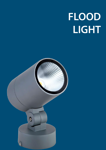# **FLOOD LIGHT**

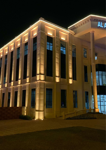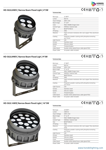

#### **HD-S02L04WX | Narrow Beam Flood Light | 4\*3W**



|                         |                            | $C \in \mathbb{P}$ $65$ $\frac{82-85}{R} \sqrt{7}$                     |
|-------------------------|----------------------------|------------------------------------------------------------------------|
| <b>Technical data</b>   |                            |                                                                        |
| Wattage                 | 12 WATT                    |                                                                        |
| Lumen                   | 840 lm                     |                                                                        |
| Input Voltage           | 220V / 24V                 |                                                                        |
| Beam Angle              | $3^{\circ}$ to $8^{\circ}$ |                                                                        |
| Color                   | RGB / RGBW/ Single Color   |                                                                        |
| Control Type            | DMX512 / Switch/Dali       |                                                                        |
| Size                    | 0130*H178mm                |                                                                        |
| IP Rating               | IP65                       |                                                                        |
| $1.4 - 1.6 - 1.6 - 1.6$ |                            | Titul comedia anche a controla di concerna a controla del controla del |

| Material     | High corrosion resistance die-cast copper-free aluminum<br>body |  |
|--------------|-----------------------------------------------------------------|--|
| Coating      | Polyester powder coating with phosphocromating<br>pre-finish    |  |
| Light Source | LED                                                             |  |
| Screws       | Stainless steel                                                 |  |
| Gasket       | Silicone rubber                                                 |  |
| Cover        | Tempered glass                                                  |  |
| Cable Gland  | Double nickel-plated brass cable gland PG11                     |  |
| Power Cable  | 1m power cable included                                         |  |

## **HD-S02L09WX | Narrow Beam Flood Ligh | 9\*3W**



|                       | $C \n\big\} 1P65 \n\big\} 82-85$                                |
|-----------------------|-----------------------------------------------------------------|
| <b>Technical data</b> |                                                                 |
| Wattage               | 27 WATT                                                         |
| Lumen                 | 840 lm                                                          |
| Input Voltage         | 220V / 24V                                                      |
| Beam Angle            | $3^{\circ}$ to $8^{\circ}$                                      |
| Color                 | RGB / RGBW/ Single Color                                        |
| Control Type          | DMX512 / Switch/ Dali                                           |
| Size                  | 0182*204mm                                                      |
| IP Rating             | IP <sub>65</sub>                                                |
| Material              | High corrosion resistance die-cast copper-free aluminum<br>body |
| Coating               | Polyester powder coating with phosphocromating<br>pre-finish    |
| Light Source          | LED                                                             |
| <b>Screws</b>         | Stainless steel                                                 |
| Gasket                | Silicone rubber                                                 |
| Cover                 | Tempered glass                                                  |
| Cable Gland           | Double nickel-plated brass cable gland PG11                     |
| Power Cable           | 1m power cable included                                         |
|                       |                                                                 |

# **HD-S02L16WX| Narrow Beam Flood Light | 16\*3W**



| Wattage       | 48 WATT                                                         |
|---------------|-----------------------------------------------------------------|
| Lumen         | 3360 lm                                                         |
| Input Voltage | 220V / 24V                                                      |
| Beam Angle    | $3°$ to $8°$                                                    |
| Color         | RGB / RGBW/ Single Color                                        |
| Control Type  | DMX512 / Switch/ Dali                                           |
| <b>Size</b>   | 0232*248mm                                                      |
| IP Rating     | IP65                                                            |
| Material      | High corrosion resistance die-cast copper-free aluminum<br>body |
| Coating       | Polyester powder coating with phosphocromating<br>pre-finish    |
| Light Source  | LED                                                             |
| <b>Screws</b> | Stainless steel                                                 |
| Gasket        | Silicone rubber                                                 |
| Cover         | Tempered glass                                                  |
| Cable Gland   | Double nickel-plated brass cable gland PG11                     |
| Power Cable   | 1m power cable included                                         |

**Technical data**

## www.hondellighting.com

 $\overline{C}$  $\overline{C}$  $\overline{P}$  $\overline{S}$  $\overline{S}$  $\overline{S}$  $\overline{C}$  $\overline{C}$  $\overline{C}$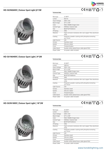

 $\overline{C}$   $\overline{C}$   $\overline{P}$   $\overline{S}$   $\overline{S}$   $\overline{S}$   $\overline{S}$   $\overline{C}$   $\overline{C}$ 

 $\overline{C}$  $\overline{C}$   $\overline{P}$   $\overline{S}$   $\overline{S}$   $\overline{S}$   $\overline{C}$   $\overline{C}$ 

# **HD-S03N06WX | Outoor Spot Light |6\*2W**



|                       | $C \n\in$ IP65 82-85                                            |
|-----------------------|-----------------------------------------------------------------|
| <b>Technical data</b> |                                                                 |
| Wattage               | 12 WATT                                                         |
| Lumen                 | 840 lm                                                          |
| Input Voltage         | 220V / 24V                                                      |
| Beam Angle            | $10^{\circ}$ to $80^{\circ}$                                    |
| Color                 | RGB / RGBW/ Single Color                                        |
| Control Type          | DMX512 / Switch/Dali                                            |
| <b>Size</b>           | 0110*110*H150mm                                                 |
| IP Rating             | IP <sub>65</sub>                                                |
| Material              | High corrosion resistance die-cast copper-free aluminum<br>body |
| Coating               | Polyester powder coating with phosphocromating<br>pre-finish    |
| Light Source          | I FD                                                            |
| <b>Screws</b>         | Stainless steel                                                 |
| Gasket                | Silicone rubber                                                 |
| Cover                 | Tempered glass                                                  |
| Cable Gland           | Double nickel-plated brass cable gland PG11                     |
| Power Cable           | 1m power cable included                                         |

#### **HD-S01N04WX | Outoor Spot Light | 9\*2W**



| <b>Technical data</b> |                                                                 |
|-----------------------|-----------------------------------------------------------------|
| Wattage               | 18 WATT                                                         |
| Lumen                 | 1260 lm                                                         |
| Input Voltage         | 220V / 24V                                                      |
| Beam Angle            | $10^{\circ}$ to $80^{\circ}$                                    |
| Color                 | RGB / RGBW/ Single Color                                        |
| Control Type          | DMX512 / Switch/ Dali                                           |
| <b>Size</b>           | 0135*115*H180mm                                                 |
| IP Rating             | IP65                                                            |
| Material              | High corrosion resistance die-cast copper-free aluminum<br>body |
| Coating               | Polyester powder coating with phosphocromating<br>pre-finish    |
| Light Source          | I FD                                                            |
| <b>Screws</b>         | Stainless steel                                                 |
| Gasket                | Silicone rubber                                                 |
| Cover                 | Tempered glass                                                  |
| Cable Gland           | Double nickel-plated brass cable gland PG11                     |
| Power Cable           | 1m power cable included                                         |

# **HD-S03N18WX | Outoor Spot Light | 18\*2W**



| Wattage       | 36 WATT                                                         |
|---------------|-----------------------------------------------------------------|
| Lumen         | 2520 lm                                                         |
| Input Voltage | 220V / 24V                                                      |
| Beam Angle    | $10^{\circ}$ to $80^{\circ}$                                    |
| Color         | RGB / RGBW/ Single Color                                        |
| Control Type  | DMX512 / Switch/ Dali                                           |
| <b>Size</b>   | 0170*130*H230mm                                                 |
| IP Rating     | IP65                                                            |
| Material      | High corrosion resistance die-cast copper-free aluminum<br>body |
| Coating       | Polyester powder coating with phosphocromating<br>pre-finish    |
| Light Source  | LED                                                             |
| <b>Screws</b> | Stainless steel                                                 |
| Gasket        | Silicone rubber                                                 |
| Cover         | Tempered glass                                                  |
| Cable Gland   | Double nickel-plated brass cable gland PG11                     |
| Power Cable   | 1m power cable included                                         |

**Technical data**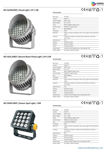

 $CE$  IP65 82-85  $\overline{\nabla}$   $\sum$   $\rightarrow$ 

 $\overline{C}$  P65  $\overline{\mathbb{R}}$   $\overline{\mathbb{V}}$   $\mathbb{C}$ 

#### **HD-S03N54WX | Flood Light | 54\*1.5W**



|                       | $C \in$ IP65 82-85                                              |  |
|-----------------------|-----------------------------------------------------------------|--|
| <b>Technical data</b> |                                                                 |  |
| Wattage               | 81 WATT                                                         |  |
| Lumen                 | 5670 lm                                                         |  |
| Input Voltage         | 220V / 24V                                                      |  |
| Beam Angle            | $10^{\circ}$ to $80^{\circ}$                                    |  |
| Color                 | RGB / RGBW/ Single Color                                        |  |
| Control Type          | DMX512 / Switch/ Dali                                           |  |
| <b>Size</b>           | 0235*290mm                                                      |  |
| IP Rating             | IP65                                                            |  |
| Material              | High corrosion resistance die-cast copper-free aluminum<br>body |  |
| Coating               | Polyester powder coating with phosphocromating<br>pre-finish    |  |
| Light Source          | LED                                                             |  |
| <b>Screws</b>         | Stainless steel                                                 |  |
| Gasket                | Silicone rubber                                                 |  |
| Cover                 | Tempered glass                                                  |  |
| Cable Gland           | Double nickel-plated brass cable gland PG11                     |  |
| Power Cable           | 1m power cable included                                         |  |

#### **HD-S03L20WX | Narrow Beam Flood Light | 20\*2.5W**



| <b>Technical data</b> |                                                                 |
|-----------------------|-----------------------------------------------------------------|
| Wattage               | 50 WATT                                                         |
| Lumen                 | 1260 lm                                                         |
| Input Voltage         | 220V / 24V                                                      |
| Beam Angle            | $3°$ to $8°$                                                    |
| Color                 | RGB / RGBW/ Single Color                                        |
| Control Type          | DMX512 / Switch/ Dali                                           |
| <b>Size</b>           | 0235*290mm                                                      |
| IP Rating             | IP <sub>65</sub>                                                |
| Material              | High corrosion resistance die-cast copper-free aluminum<br>body |
| Coating               | Polyester powder coating with phosphocromating<br>pre-finish    |
| Light Source          | I FD                                                            |
| <b>Screws</b>         | Stainless steel                                                 |
| Gasket                | Silicone rubber                                                 |
| Cover                 | Tempered glass                                                  |
| Cable Gland           | Double nickel-plated brass cable gland PG11                     |
| Power Cable           | 1m power cable included                                         |

#### **HD-S04N16WX | Outoor Spot Light | 16W**



#### **Technical data** Wattage 16 WATT Lumen 1120 lm Input Voltage 220V / 24V Beam Angle 10° to 80° Color RGB / RGBW/ Single Color Control Type DMX512 / Switch/ Dali Size L125\*W125\*H188mm IP Rating IP65 Material High corrosion resistance die-cast copper-free aluminum body Coating Polyester powder coating with phosphocromating pre-finish Light Source LED Screws Stainless steel Gasket Silicone rubber Cover Tempered glass Cable Gland Double nickel-plated brass cable gland PG11 Power Cable 1m power cable included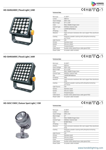

′‡

 $CE$  IP65  $\frac{82-85}{Ra}$   $\overline{\nabla}$   $\sum_{i=1}^{n}$  1

 $CE$  IP65 82-85  $\overline{\nabla}$   $\sum$   $\rightarrow$ 

 $\overline{\mathsf{CE}}$  IP65  $\overline{\mathsf{B}}$   $\overline{\mathsf{B}}$   $\overline{\mathsf{B}}$   $\overline{\mathsf{C}}$ 

#### **HD-S04N24WX | Flood Light | 24W**



| <b>Technical data</b> |                                                                 |
|-----------------------|-----------------------------------------------------------------|
|                       |                                                                 |
| Wattage               | 24 WATT                                                         |
| Lumen                 | 1680 lm                                                         |
| Input Voltage         | 220V / 24V                                                      |
| Beam Angle            | $10^{\circ}$ to $80^{\circ}$                                    |
| Color                 | RGB / RGBW/ Single Color                                        |
| Control Type          | DMX512 / Switch/ Dali                                           |
| <b>Size</b>           | 1150*W150*H218mm                                                |
| IP Rating             | IP <sub>65</sub>                                                |
| Material              | High corrosion resistance die-cast copper-free aluminum<br>body |
| Coating               | Polyester powder coating with phosphocromating<br>pre-finish    |
| Light Source          | I FD                                                            |
| <b>Screws</b>         | Stainless steel                                                 |
| Gasket                | Silicone rubber                                                 |
| Cover                 | Tempered glass                                                  |
| Cable Gland           | Double nickel-plated brass cable gland PG11                     |
| Power Cable           | 1m power cable included                                         |

#### **HD-S04N36WX | Flood Light | 36W**



#### **Technical data**

**Technical data**

| Wattage       | 36 WATT                                                         |
|---------------|-----------------------------------------------------------------|
| Lumen         | 2520 lm                                                         |
| Input Voltage | 220V / 24V                                                      |
| Beam Angle    | $10^{\circ}$ to $80^{\circ}$                                    |
| Color         | RGB / RGBW/ Single Color                                        |
| Control Type  | DMX512 / Switch/ Dali                                           |
| <b>Size</b>   | L190*W190*H265mm                                                |
| IP Rating     | IP65                                                            |
| Material      | High corrosion resistance die-cast copper-free aluminum<br>body |
| Coating       | Polyester powder coating with phosphocromating<br>pre-finish    |
| Light Source  | I FD                                                            |
| <b>Screws</b> | Stainless steel                                                 |
| Gasket        | Silicone rubber                                                 |
| Cover         | Tempered glass                                                  |
| Cable Gland   | Double nickel-plated brass cable gland PG11                     |
| Power Cable   | 1m power cable included                                         |

#### **HD-S05C15WX | Outoor Spot Light | 15W**



#### Wattage 15 WATT Lumen 1050 lm Input Voltage 220V / 24V Beam Angle 12<sup>c</sup> Color RGB / RGBW/ Single Color Control Type DMX512 / Switch/ Dali Size Φ100H170mm IP Rating IP65 Material High corrosion resistance die-cast copper-free aluminum body Coating Polyester powder coating with phosphocromating pre-finish Light Source LED Screws Stainless steel Gasket Silicone rubber Cover Tempered glass Cable Gland Double nickel-plated brass cable gland PG11

Power Cable 1m power cable included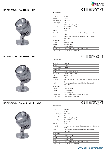

 $C \in \mathbb{P}$ 65 82-85  $\overline{\nabla}$   $\overline{\nabla}$   $\overline{\rightarrow}$ 

# **HD-S05C25WX | Flood Light | 25W**



**Technical data**

| Wattage       | 25 WATT                                                         |
|---------------|-----------------------------------------------------------------|
| Lumen         | 1750 lm                                                         |
| Input Voltage | 220V / 24V                                                      |
| Beam Angle    | $18^{\circ}$                                                    |
| Color         | RGB / RGBW/ Single Color                                        |
| Control Type  | DMX512 / Switch/ Dali                                           |
| <b>Size</b>   | 0130H220mm                                                      |
| IP Rating     | IP <sub>65</sub>                                                |
| Material      | High corrosion resistance die-cast copper-free aluminum<br>body |
| Coating       | Polyester powder coating with phosphocromating<br>pre-finish    |
| Light Source  | LED                                                             |
| <b>Screws</b> | Stainless steel                                                 |
| Gasket        | Silicone rubber                                                 |
| Cover         | Tempered glass                                                  |
| Cable Gland   | Double nickel-plated brass cable gland PG11                     |
| Power Cable   | 1m power cable included                                         |

#### **HD-S05C50WX | Flood Light | 50W**



| <b>Technical data</b> | $C \n\bigoplus$ IP65 82-85                                      |
|-----------------------|-----------------------------------------------------------------|
| Wattage               | 50WATT                                                          |
| Lumen                 | 3500 lm                                                         |
| Input Voltage         | 220V / 24V                                                      |
| Beam Angle            | $24^{\circ}$                                                    |
| Color                 | RGB / RGBW/ Single Color                                        |
| Control Type          | DMX512 / Switch/ Dali                                           |
| Size                  | 0200H310mm                                                      |
| IP Rating             | IP <sub>65</sub>                                                |
| Material              | High corrosion resistance die-cast copper-free aluminum<br>body |
| Coating               | Polyester powder coating with phosphocromating<br>pre-finish    |
| Light Source          | LED                                                             |
| <b>Screws</b>         | Stainless steel                                                 |
| Gasket                | Silicone rubber                                                 |
| Cover                 | Tempered glass                                                  |
| Cable Gland           | Double nickel-plated brass cable gland PG11                     |
| Power Cable           | 1m power cable included                                         |

# **HD-S05C80WX | Outoor Spot Light | 80W**



| Wattage       | 80 WATT                                                         |
|---------------|-----------------------------------------------------------------|
| Lumen         | 5600 lm                                                         |
| Input Voltage | 220V / 24V                                                      |
| Beam Angle    | $24^{\circ}$                                                    |
| Color         | RGB / RGBW/ Single Color                                        |
| Control Type  | DMX512 / Switch/ Dali                                           |
| <b>Size</b>   | 0230H345mm                                                      |
| IP Rating     | IP65                                                            |
| Material      | High corrosion resistance die-cast copper-free aluminum<br>body |
| Coating       | Polyester powder coating with phosphocromating<br>pre-finish    |
| Light Source  | LED                                                             |
| <b>Screws</b> | Stainless steel                                                 |
| Gasket        | Silicone rubber                                                 |
| Cover         | Tempered glass                                                  |
| Cable Gland   | Double nickel-plated brass cable gland PG11                     |
| Power Cable   | 1m power cable included                                         |

# www.hondellighting.com

 $\overline{C}$  $\overline{C}$   $\overline{P}$   $\overline{S}$   $\overline{S}$   $\overline{S}$   $\overline{C}$   $\overline{C}$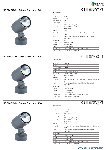

ᠿ

#### **HD-S06C05WX | Outdoor Spot Light | 5W**



|                       | $C \n\leftarrow 1P65 \n\frac{82-85}{1}$                         |
|-----------------------|-----------------------------------------------------------------|
| <b>Technical data</b> |                                                                 |
| Wattage               | 5 WATT                                                          |
| Lumen                 | 350 lm                                                          |
| Input Voltage         | 220V / 24V                                                      |
| Beam Angle            | $24^{\circ}$                                                    |
| Color                 | RGB / RGBW/ Single Color                                        |
| Control Type          | DMX512 / Switch/ Dali                                           |
| <b>Size</b>           | 080*135*185mm                                                   |
| IP Rating             | IP <sub>65</sub>                                                |
| Material              | High corrosion resistance die-cast copper-free aluminum<br>body |
| Coating               | Polyester powder coating with phosphocromating<br>pre-finish    |
| Light Source          | LED                                                             |
| Screws                | Stainless steel                                                 |
| Gasket                | Silicone rubber                                                 |
| Cover                 | Tempered glass                                                  |
| Cable Gland           | Double nickel-plated brass cable gland PG11                     |
| Power Cable           | 1m power cable included                                         |
|                       |                                                                 |

#### **HD-S06C10WX | Outdoor Spot Light | 10W**



|                       | $C \tF 1P65 \tfrac{82-85}{2}$                                   |
|-----------------------|-----------------------------------------------------------------|
| <b>Technical data</b> |                                                                 |
|                       |                                                                 |
| Wattage               | 50WATT                                                          |
| Lumen                 | 700 lm                                                          |
| Input Voltage         | 220V / 24V                                                      |
| Beam Angle            | $24^{\circ}$                                                    |
| Color                 | RGB / RGBW/ Single Color                                        |
| Control Type          | DMX512 / Switch/ Dali                                           |
| <b>Size</b>           | 080*135*185mm                                                   |
| IP Rating             | IP <sub>65</sub>                                                |
| Material              | High corrosion resistance die-cast copper-free aluminum<br>body |
| Coating               | Polyester powder coating with phosphocromating<br>pre-finish    |
| Light Source          | LED                                                             |
| <b>Screws</b>         | Stainless steel                                                 |
| Gasket                | Silicone rubber                                                 |
| Cover                 | Tempered glass                                                  |
| Cable Gland           | Double nickel-plated brass cable gland PG11                     |
| Power Cable           | 1m power cable included                                         |

 $\overline{a}$ 

# **HD-S06C15WX | Outdoor Spot Light | 15W**



| <b>Technical data</b> |                                                                 |
|-----------------------|-----------------------------------------------------------------|
|                       |                                                                 |
| Wattage               | 15 WATT                                                         |
| Lumen                 | 1050 lm                                                         |
| Input Voltage         | 220V / 24V                                                      |
| Beam Angle            | $24^{\circ}$                                                    |
| Color                 | RGB / RGBW/ Single Color                                        |
| Control Type          | DMX512 / Switch/ Dali                                           |
| <b>Size</b>           | 080*135*185mm                                                   |
| IP Rating             | IP65                                                            |
| Material              | High corrosion resistance die-cast copper-free aluminum<br>body |
| Coating               | Polyester powder coating with phosphocromating<br>pre-finish    |
| Light Source          | LED                                                             |
| <b>Screws</b>         | Stainless steel                                                 |
| Gasket                | Silicone rubber                                                 |
| Cover                 | Tempered glass                                                  |
| Cable Gland           | Double nickel-plated brass cable gland PG11                     |
| Power Cable           | 1m power cable included                                         |

# www.hondellighting.com

 $\overline{C}$   $\overline{C}$   $\overline{P}$   $\overline{S}$   $\overline{C}$   $\overline{C}$   $\overline{C}$   $\overline{C}$   $\overline{C}$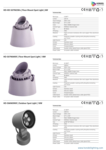

 $\mathsf{CE}$  IP65  $\overline{\mathbb{R}^3}$   $\overline{\mathbb{V}}$   $\mathbb{C}$   $\overline{\mathbb{C}}$ 

#### **HD-HD-S07N03Wx | Floor Mount Spot Light | 6W**



**Technical data**

| Wattage       | 6 WATT                                                          |
|---------------|-----------------------------------------------------------------|
| Lumen         | 420 lm                                                          |
| Input Voltage | 220V / 24V                                                      |
| Beam Angle    | $10^{\circ}$ to $80^{\circ}$                                    |
| Color         | RGB / RGBW/ Single Color                                        |
| Control Type  | DMX512 / Switch/ Dali                                           |
| <b>Size</b>   | Φ110mm                                                          |
| IP Rating     | IP <sub>65</sub>                                                |
| Material      | High corrosion resistance die-cast copper-free aluminum<br>body |
| Coating       | Polyester powder coating with phosphocromating<br>pre-finish    |
| Light Source  | I FD                                                            |
| Screws        | Stainless steel                                                 |
| Gasket        | Silicone rubber                                                 |
| Cover         | Tempered glass                                                  |
| Cable Gland   | Double nickel-plated brass cable gland PG11                     |
| Power Cable   | 1m power cable included                                         |

#### **HD-S07N06WX | Floor Mount Spot Light | 18W**



|                       | $C \n\in$ IP65 82-85                                            |
|-----------------------|-----------------------------------------------------------------|
| <b>Technical data</b> |                                                                 |
| Wattage               | 18 WATT                                                         |
| Lumen                 | 1260lm                                                          |
| Input Voltage         | 220V / 24V                                                      |
| Beam Angle            | $10^{\circ}$ to $80^{\circ}$                                    |
| Color                 | RGB / RGBW/ Single Color                                        |
| Control Type          | DMX512 / Switch/ Dali                                           |
| <b>Size</b>           | <b>0130mm</b>                                                   |
| IP Rating             | IP65                                                            |
| Material              | High corrosion resistance die-cast copper-free aluminum<br>body |
| Coating               | Polyester powder coating with phosphocromating<br>pre-finish    |
| Light Source          | LED                                                             |
| Screws                | Stainless steel                                                 |
| Gasket                | Silicone rubber                                                 |
| Cover                 | Tempered glass                                                  |
| Cable Gland           | Double nickel-plated brass cable gland PG11                     |
| Power Cable           | 1m power cable included                                         |

# **HD-S06N09WX | Outdoor Spot Light | 18W**



| Wattage       | 15 WATT                                                         |
|---------------|-----------------------------------------------------------------|
| Lumen         | 1260 lm                                                         |
| Input Voltage | 220V / 24V                                                      |
| Beam Angle    | $10^{\circ}$ to $80^{\circ}$                                    |
| Color         | RGB / RGBW/ Single Color                                        |
| Control Type  | DMX512 / Switch/ Dali                                           |
| <b>Size</b>   | φ100*135*185mm                                                  |
| IP Rating     | IP65                                                            |
| Material      | High corrosion resistance die-cast copper-free aluminum<br>body |
| Coating       | Polyester powder coating with phosphocromating<br>pre-finish    |
| Light Source  | LED                                                             |
| <b>Screws</b> | Stainless steel                                                 |
| Gasket        | Silicone rubber                                                 |
| Cover         | Tempered glass                                                  |
| Cable Gland   | Double nickel-plated brass cable gland PG11                     |
| Power Cable   | 1m power cable included                                         |

# www.hondellighting.com

 $\overline{C}$  $\overline{C}$   $\overline{P}$   $\overline{S}$   $\overline{S}$   $\overline{S}$   $\overline{C}$   $\overline{C}$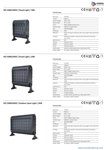

 $\overline{\mathsf{C}}$   $\overline{\mathsf{C}}$   $\overline{\mathsf{P}}$   $\overline{\mathsf{B}}$   $\overline{\mathsf{C}}$   $\overline{\mathsf{C}}$   $\overline{\mathsf{P}}$   $\overline{\mathsf{C}}$   $\overline{\mathsf{P}}$ 

 $\overline{C}$   $\left\{$  IP65  $\frac{82-85}{R_0}\right\}$   $\overline{C}$   $\overline{C}$ 

 $\overline{C}$   $\overline{F}$   $\overline{F}$   $\overline{F}$   $\overline{F}$   $\overline{F}$ 

# **HD-S08N18WX | Flood Light | 18W**



| Technical data |  |
|----------------|--|
|----------------|--|

**Technical data**

| Wattage       | 18 WATT                                                         |
|---------------|-----------------------------------------------------------------|
| Lumen         | 1260 lm                                                         |
| Input Voltage | 220V / 24V                                                      |
| Beam Angle    | $10^{\circ}$ to $80^{\circ}$                                    |
| Color         | RGB / RGBW/ Single Color                                        |
| Control Type  | DMX512 / Switch/ Dali                                           |
| <b>Size</b>   | 144*160*53MM                                                    |
| IP Rating     | TP65                                                            |
| Material      | High corrosion resistance die-cast copper-free aluminum<br>body |
| Coating       | Polyester powder coating with phosphocromating<br>pre-finish    |
| Light Source  | LED                                                             |
| <b>Screws</b> | Stainless steel                                                 |
| Gasket        | Silicone rubber                                                 |
| Cover         | Tempered glass                                                  |
| Cable Gland   | Double nickel-plated brass cable gland PG11                     |
| Power Cable   | 1m power cable included                                         |

## **HD-S08N24WX | Flood Light | 24W**



| <b>Technical data</b> |                                                                 |
|-----------------------|-----------------------------------------------------------------|
| Wattage               | 24 WATT                                                         |
| Lumen                 | 1680lm                                                          |
| Input Voltage         | 220V / 24V                                                      |
| Beam Angle            | $10^{\circ}$ to $80^{\circ}$                                    |
| Color                 | RGB / RGBW/ Single Color                                        |
| Control Type          | DMX512 / Switch/ Dali                                           |
| <b>Size</b>           | 168*160*53MM                                                    |
| IP Rating             | IP <sub>65</sub>                                                |
| Material              | High corrosion resistance die-cast copper-free aluminum<br>body |
| Coating               | Polyester powder coating with phosphocromating<br>pre-finish    |
| Light Source          | I FD                                                            |
| <b>Screws</b>         | Stainless steel                                                 |
| Gasket                | Silicone rubber                                                 |
| Cover                 | Tempered glass                                                  |
| Cable Gland           | Double nickel-plated brass cable gland PG11                     |
| Power Cable           | 1m power cable included                                         |

# **HD-S08N36WX | Outdoor Spot Light | 36W**



| Wattage       | 3 WATT                                                          |
|---------------|-----------------------------------------------------------------|
| Lumen         | 2520 lm                                                         |
| Input Voltage | 220V / 24V                                                      |
| Beam Angle    | $10^{\circ}$ to $80^{\circ}$                                    |
| Color         | RGB / RGBW/ Single Color                                        |
| Control Type  | DMX512 / Switch/ Dali                                           |
| <b>Size</b>   | 302*160*53MM                                                    |
| IP Rating     | IP <sub>65</sub>                                                |
| Material      | High corrosion resistance die-cast copper-free aluminum<br>body |
| Coating       | Polyester powder coating with phosphocromating<br>pre-finish    |
| Light Source  | LED                                                             |
| <b>Screws</b> | Stainless steel                                                 |
| Gasket        | Silicone rubber                                                 |
| Cover         | Tempered glass                                                  |
| Cable Gland   | Double nickel-plated brass cable gland PG11                     |
| Power Cable   | 1m power cable included                                         |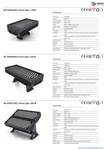

 $\bigcup_{P65}$   $\frac{82-85}{Ra}$   $\bigtriangledown$   $\bigtriangledown$   $\bigtriangleup$ 

 $\bigcup_{P65}$   $\bigotimes_{Ra}$   $\bigotimes_{Ra}$   $\bigotimes_{h=1}^{2n}$ 

 $\overline{C}$   $\overline{C}$   $\overline{P}$   $\overline{S}$   $\overline{S}$   $\overline{S}$   $\overline{C}$   $\overline{C}$   $\overline{C}$ 

# **HD-S09N72WX | Flood Light | 108W**



| <b>Technical data</b> |                                                                 |
|-----------------------|-----------------------------------------------------------------|
| Wattage               | 108 WATT                                                        |
| Lumen                 | 7560 lm                                                         |
| Input Voltage         | 220V / 24V                                                      |
| Beam Angle            | $10^{\circ}$ to $80^{\circ}$                                    |
| Color                 | RGB / RGBW/ Single Color                                        |
| Control Type          | DMX512 / Switch/ Dali                                           |
| <b>Size</b>           | 200*93*367 MM                                                   |
| IP Rating             | IP65                                                            |
| Material              | High corrosion resistance die-cast copper-free aluminum<br>body |
| Coating               | Polyester powder coating with phosphocromating<br>pre-finish    |
| Light Source          | LED                                                             |
| <b>Screws</b>         | Stainless steel                                                 |
| Gasket                | Silicone rubber                                                 |
| Cover                 | Tempered glass                                                  |
| Cable Gland           | Double nickel-plated brass cable gland PG11                     |
| Power Cable           | 1m power cable included                                         |

## **HD-S09N99WX| Flood Light | 200 W**



| Technical data |  |
|----------------|--|

**Technical data**

| Wattage       | 200 WATT                                                        |
|---------------|-----------------------------------------------------------------|
| Lumen         | 14000 lm                                                        |
| Input Voltage | 220V / 24V                                                      |
| Beam Angle    | $10^{\circ}$ to $80^{\circ}$                                    |
| Color         | RGB / RGBW/ Single Color                                        |
| Control Type  | DMX512 / Switch/ Dali                                           |
| <b>Size</b>   | 200*93*505MM                                                    |
| IP Rating     | IP <sub>65</sub>                                                |
| Material      | High corrosion resistance die-cast copper-free aluminum<br>body |
| Coating       | Polyester powder coating with phosphocromating<br>pre-finish    |
| Light Source  | LED                                                             |
| <b>Screws</b> | Stainless steel                                                 |
| Gasket        | Silicone rubber                                                 |
| Cover         | Tempered glass                                                  |
| Cable Gland   | Double nickel-plated brass cable gland PG11                     |
| Power Cable   | 1m power cable included                                         |

**HD-S09N72WX | Flood Light | 400 W**



| Wattage       | <b>400 WATT</b>                                                 |
|---------------|-----------------------------------------------------------------|
| Lumen         | 28000 lm                                                        |
| Input Voltage | 220V / 24V                                                      |
| Beam Angle    | $10^{\circ}$ to $80^{\circ}$                                    |
| Color         | RGB / RGBW/ Single Color                                        |
| Control Type  | DMX512 / Switch/ Dali                                           |
| <b>Size</b>   | 410*93*505 MM                                                   |
| IP Rating     | IP65                                                            |
| Material      | High corrosion resistance die-cast copper-free aluminum<br>body |
| Coating       | Polyester powder coating with phosphocromating<br>pre-finish    |
| Light Source  | I FD                                                            |
| <b>Screws</b> | Stainless steel                                                 |
| Gasket        | Silicone rubber                                                 |
| Cover         | Tempered glass                                                  |
| Cable Gland   | Double nickel-plated brass cable gland PG11                     |
| Power Cable   | 1m power cable included                                         |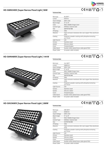

# **HD-S08N54WX |Super Narrow Flood Light | 96W**



| <b>Technical data</b> |                                                                 |
|-----------------------|-----------------------------------------------------------------|
|                       |                                                                 |
| Wattage               | 96 WATT                                                         |
| Lumen                 | 6720 lm                                                         |
| Input Voltage         | 220V / 24V                                                      |
| Beam Angle            | $3^{\circ}$ to $8^{\circ}$                                      |
| Color                 | RGB / RGBW/ Single Color                                        |
| Control Type          | DMX512 / Switch/ Dali                                           |
| <b>Size</b>           | 200*93*367 MM                                                   |
| IP Rating             | <b>TP65</b>                                                     |
| Material              | High corrosion resistance die-cast copper-free aluminum<br>body |
| Coating               | Polyester powder coating with phosphocromating<br>pre-finish    |
| Light Source          | LED                                                             |
| Screws                | Stainless steel                                                 |
| Gasket                | Silicone rubber                                                 |
| Cover                 | Tempered glass                                                  |
| Cable Gland           | Double nickel-plated brass cable gland PG11                     |
| Power Cable           | 1m power cable included                                         |

## **HD-S09N48WX |Super Narrow Flood Light | 144 W**



|                       | $C \n\bigoplus$ IP65 82-85                                      |
|-----------------------|-----------------------------------------------------------------|
| <b>Technical data</b> |                                                                 |
| Wattage               | 144 WATT                                                        |
| Lumen                 | 10800 lm                                                        |
| Input Voltage         | 220V / 24V                                                      |
| Beam Angle            | $3^{\circ}$ to $8^{\circ}$                                      |
| Color                 | RGB / RGBW/ Single Color                                        |
| Control Type          | DMX512 / Switch/ Dali                                           |
| <b>Size</b>           | 200*93*505 MM                                                   |
| IP Rating             | IP <sub>65</sub>                                                |
| Material              | High corrosion resistance die-cast copper-free aluminum<br>body |
| Coating               | Polyester powder coating with phosphocromating<br>pre-finish    |
| Light Source          | I FD                                                            |
| <b>Screws</b>         | Stainless steel                                                 |
| Gasket                | Silicone rubber                                                 |
| Cover                 | Tempered glass                                                  |
| Cable Gland           | Double nickel-plated brass cable gland PG11                     |
| Power Cable           | 1m power cable included                                         |

# **HD-S09296WX |Super Narrow Flood Light | 288W**



| Wattage       | <b>288 WATT</b>                                                 |
|---------------|-----------------------------------------------------------------|
| Lumen         | 20160 lm                                                        |
| Input Voltage | 220V / 24V                                                      |
| Beam Angle    | $3^{\circ}$ to $8^{\circ}$                                      |
| Color         | RGB / RGBW/ Single Color                                        |
| Control Type  | DMX512 / Switch/ Dali                                           |
| <b>Size</b>   | 410*93*505 MM                                                   |
| IP Rating     | IP <sub>65</sub>                                                |
| Material      | High corrosion resistance die-cast copper-free aluminum<br>body |
| Coating       | Polyester powder coating with phosphocromating<br>pre-finish    |
| Light Source  | LED                                                             |
| <b>Screws</b> | Stainless steel                                                 |
| Gasket        | Silicone rubber                                                 |
| Cover         | Tempered glass                                                  |
| Cable Gland   | Double nickel-plated brass cable gland PG11                     |
| Power Cable   | 1m power cable included                                         |
|               |                                                                 |

 $\overline{C}$  $\overline{C}$  $\overline{P}$  $\overline{S}$  $\overline{S}$  $\overline{S}$  $\overline{C}$  $\overline{C}$  $\overline{C}$ 

**Technical data**